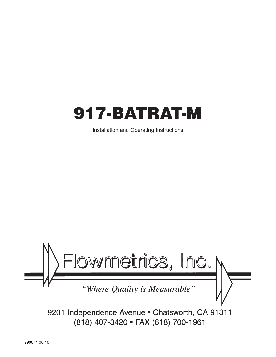

Installation and Operating Instructions



9201 Independence Avenue . Chatsworth, CA 91311 (818) 407-3420 · FAX (818) 700-1961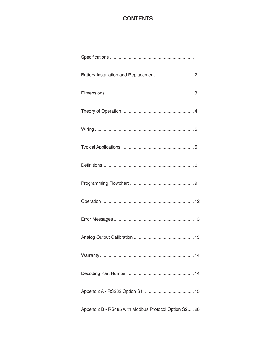## **CONTENTS**

| Warranty                                             | 14 |
|------------------------------------------------------|----|
|                                                      |    |
|                                                      |    |
| Appendix B - RS485 with Modbus Protocol Option S2 20 |    |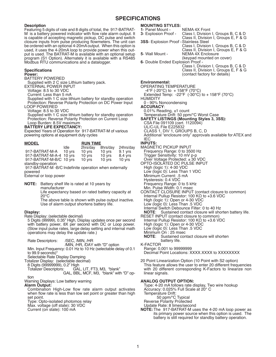#### **SPECIFICATIONS**

#### **Description**

Featuring 5 digits of rate and 8 digits of total, the 917-BATRAT-M is a battery powered indicator with flow rate alarm output. It is capable of accepting magnetic pickup, DC pulse and switch closure inputs from pulse producing flowmeters. The unit can be ordered with an optional 4-20mA output. When this option is used, it uses the 4-20mA loop to provide power when this output is used. The BATRAT-M is available with an optional setup program (S1 Option). Alternately it is available with a RS485 Modbus RTU communications and a datalogger.

#### **Specifications**

#### **Power:**

BATTERY POWERED

Supplied with 2 C size Lithium battery pack.

EXTERNAL POWER INPUT

Voltage: 8.5 to 30 VDC

Current: Less than 5 mA

Supplied with 1 C size lithium battery for standby operation Protection: Reverse Polarity Protection on DC Power Input LOOP POWERED

Voltage: 8.5 to 30 VDC

Supplied with 1 C size lithium battery for standby operation Protection: Reverse Polarity Protection on Current Loop Loop Burden: 8.5V maximum

#### **BATTERY LIFE EXPECTANCY:**

Expected Years of Operation for 917-BATRAT-M of various powering options at equipment duty cycles

| <b>MODEL</b>            |                  | <b>RUN TIME</b>  |          |           |
|-------------------------|------------------|------------------|----------|-----------|
|                         | Idle             | 2hrs/day         | 8hrs/day | 24hrs/day |
| 917-BATRAT-M-A          | $10 \text{ vrs}$ | $10 \text{ vrs}$ | 10 yrs   | 9.1 vrs   |
| 917-BATRAT-M-A-4 10 yrs |                  | 10 yrs           | 10 yrs   | 8.4 yrs   |
| 917-BATRAT-M-B/C 10 yrs |                  | 10 yrs           | 10 yrs   | 10 yrs    |
|                         |                  |                  |          |           |

standby-operation 917-BATRAT-M -B/C Indefinite operation when externally powered

External or loop power

**NOTE:** Battery shelf life is rated at 10 years by manufacturer Life expectancy based on rated battery capacity at

20°C

The above table is shown with pulse output inactive. Use of alarm output shortens battery life.

#### **Display:**

Rate Display: (selectable decimal)

5 Digits (99999), 0.35" High, Display updates once per second with battery power, 8X per second with DC or Loop power. (Slow input pulse rates, large delay setting and internal math operations may delay the update rate.)

Rate Descriptors: /SEC, /MIN, /HR

/MIN, /HR, /DAY with "D" option

Min. Input Frequency: 0.01 Hz to 10 Hz (selectable delay of 0.1 to 99.9 seconds)\*

Selectable Rate Display Damping

Totalizer Display: (selectable decimal)

8 Digits (99999999), 0.2" High

Totalizer Descriptors: GAL, LIT, FT3, M3, "blank"

GAL, BBL, MCF, M3, "blank" with "D" op- tion

Warning Displays: Low battery warning

#### **Alarm Output:**

Combination High-Low flow rate alarm output activates when flow rate is less than low set point or greater than high set point.

Type: Opto-isolated photomos relay

Max. voltage (off state): 30 VDC

Current (on state): 100 mA

#### **MOUNTING STYLES:**

**1- Panel Mount - NEMA 4X Front 3- Explosion Proof - Class I, Division 3**- Explosion Proof - Class I, Division I, Groups B, C & D Class II, Division I, Groups E, F & G **3SS**- Explosion Proof -Stainless Steel Class I, Division I, Groups B, C & D Class II, Division I, Groups E, F & G **5**- Wall Mount - NEMA 4X Enclosure (keypad mounted on cover) **6**- Double Ended Explosion Proof - Class I, Division I, Groups B, C & D Class II, Division I, Groups E, F & G

(contact factory for details)

#### **Environmental:**

OPERATING TEMPERATURE  $-4^{\circ}$ F (-20 $^{\circ}$ C) to + 158 $^{\circ}$ F (70 $^{\circ}$ C)

Extended Temp: -22°F (-30°C) to + 158°F (70°C) **HUMIDITY** 0 - 90% Noncondensing **ACCURACY**:

0.01% Reading, ±1 count Temperature Drift: 50 ppm/°C Worst Case

**SAFETY LISTINGS (Mounting Styles 3, 3SS):**

- CSA File 091109 (cert. 1120094)
- UL/C-UL File E225832

CLASS 1, DIV 1, GROUPS B, C, D

Additional "enclosure only" approvals available for ATEX and IEC

### **INPUTS:**

MAGNETIC PICKUP INPUT Frequency Range: 0 to 3500 Hz Trigger Sensitivity: 10 mV p-p Over Voltage Protected: ± 30 VDC OPTO-ISOLATED DC PULSE INPUT High (logic 1): 4-30 VDC Low (logic 0): Less Than 1 VDC Minimum Current: .5 mA Hysteresis: 0.4 VDC Frequency Range: 0 to 5 kHz Min. Pulse Width: 0.1 msec CONTACT CLOSURE INPUT (contact closure to common) Internal Pullup Resistor: 100 KΩ to +3.6 VDC High (logic 1): Open or 4-30 VDC Low (logic 0): Less Than .5 VDC Internal Switch Debounce Filter: 0 to 40 Hz<br>**NOTE:** Sustained contact closure will sho Sustained contact closure will shorten battery life. RESET INPUT (contact closure to common) Internal Pullup Resistor: 100 KΩ to +3.6 VDC

High (logic 1): Open or 4-30 VDC

- 
- Low (logic 0): Less Than .5 VDC

Minimum On : 25 msec<br>**NOTE:** Sustained con Sustained contact closure will shorten battery life.

K-FACTOR Range: 0.001 to 99999999 Decimal Point Locations: XXXX.XXXX to XXXXXXXX

20 Point Linearization Option (10 Point with S2 option) This feature allows the user to enter 20 different frequencies with 20 different corresponding K-Factors to linearize non linear signals.

#### **ANALOG OUTPUT OPTION:**

Type: 4-20 mA follows rate display, Two wire hookup Accuracy: 0.025% Full Scale at 20° C

Temperature Drift:

50 ppm/°C Typical

Reverse Polarity Protected

Update Rate: 8 times/second

**NOTE:** The 917-BATRAT-M uses the 4-20 mA loop power as its primary power source when this option is used. The battery is still required for standby battery operation.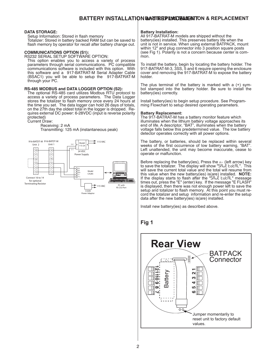### **BATTERY INSTALLATION GATTERY INSTALLATION & REPLACEMENT**

#### **DATA STORAGE:**

Setup Information: Stored in flash memory Totalizer: Stored in battery backed RAM but can be saved to flash memory by operator for recall after battery change out.

#### **COMMUNICATIONS OPTION (S1):**

RS232 SERIAL SETUP SOFTWARE OPTION:

This option enables you to access a variety of process parameters through serial communications. PC compatible communications software is included with this option. With this software and a 917-BATRAT-M Serial Adapter Cable (BSAC1) you will be able to setup the 917-BATRAT-M through your PC.

#### **RS-485 MODBUS and DATA LOGGER OPTION (S2):**

The optional RS-485 card utilizes Modbus RTU protocol to access a variety of process parameters. The Data Logger stores the totalizer to flash memory once every 24 hours at the time you set. The data logger can hold 26 days of totals, on the 27th day the oldest total in the logger is dropped. Requires external DC power: 6-28VDC (input is reverse polarity protected)

#### Current Draw:

#### Receiving: 2 mA



Transmitting: 125 mA (instantaneous peak)

#### **Battery Installation:**

All 917-BATRAT-M models are shipped without the battery(ies) installed. This preserves battery life when the unit is not in service. When using external BATPACK, mount within 12" and plug connector into 3 position square posts (see Fig 1). Polarity is not a concern because center is com- mon.

To install the battery, begin by locating the battery holder. The 917-BATRAT-M-3, 3SS, 5 and 6 require opening the enclosure cover and removing the 917-BATRAT-M to expose the battery holder.

The plus terminal of the battery is marked with a  $(+)$  sym-<br>bol stamped into the battery holder. Be sure to install the battery(ies) correctly.

Install battery(ies) to begin setup procedure. See Program- ming Flowchart to setup desired operating parameters.

#### **Battery Replacement:**

The 917-BATRAT-M has a battery monitor feature which illuminates when the lithium battery voltage approaches its end of life. A descriptor, "BAT", illuminates when the battery voltage falls below this predetermined value. The low battery detector operates correctly with all power options.

The battery, or batteries, should be replaced within several weeks of the first occurrence of low battery warning, "BAT". Left unattended, the unit may become inaccurate, cease to operate or malfunction.

Before replacing the battery(ies), Press the  $\leftarrow$  (left arrow) key to save the totalizer. The display will show "SRUE EoERL". This will save the current total value and the total will resume from this value when the new battery(ies) is(are) installed. **NOTE:**  If the display starts to flash after the "SAvE totAL" message times out, press the "E" (enter) key. If the message "E FLASH" is displayed, then there was not enough power left to save the setup and totalizer to flash memory. At this point you must record the totalizer and setup information and re-enter the setup data after the new battery(ies) is(are) installed.

Install new battery(ies) as described above.

## **Fig 1**

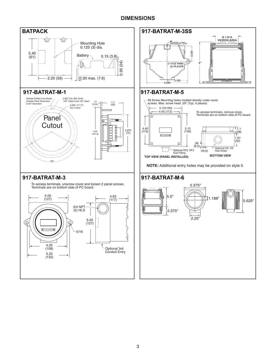## **DIMENSIONS**

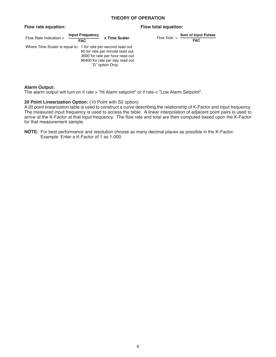#### **THEORY OF OPERATION**

| Flow Rate Indication $=$                                      | <b>Input Frequency</b><br><b>FAC</b> | x Time Scaler                                                                                                            | Flow Total $=$ | Sum of Inpr<br><b>FAC</b> |
|---------------------------------------------------------------|--------------------------------------|--------------------------------------------------------------------------------------------------------------------------|----------------|---------------------------|
| Where Time Scaler is equal to: 1 for rate per second read out |                                      | 60 for rate per minute read out<br>3600 for rate per hour read out<br>86400 for rate per day read out<br>"D" option Only |                |                           |

#### **Flow rate equation: Flow total equation:**

Flow Total = 
$$
\frac{\text{Sum of Input Pulses}}{\text{FAC}}
$$

#### **Alarm Output:**

The alarm output will turn on if rate > "Hi Alarm setpoint" or if rate < "Low Alarm Setpoint".

#### **20 Point Linearization Option:** (10 Point with S2 option)

A 20 point linearization table is used to construct a curve describing the relationship of K-Factor and input frequency. The measured input frequency is used to access the table. A linear interpolation of adjacent point pairs is used to arrive at the K-Factor at that input frequency. The flow rate and total are then computed based upon the K-Factor for that measurement sample.

**NOTE:** For best performance and resolution choose as many decimal places as possible in the K-Factor. Example: Enter a K-Factor of 1 as 1.000.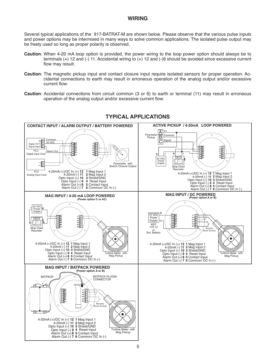### **WIRING**

Several typical applications of the 917-BATRAT-M are shown below. Please observe that the various pulse inputs and power options may be intermixed in many ways to solve common applications. The isolated pulse output may be freely used so long as proper polarity is observed.

- **Caution**: When 4-20 mA loop option is provided, the power wiring to the loop power option should always be to terminals (+) 12 and (-) 11. Accidental wiring to (+) 12 and (-)6 should be avoided since excessive current flow may result.
- **Caution**: The magnetic pickup input and contact closure input require isolated sensors for proper operation. Accidental connections to earth may result in erroneous operation of the analog output and/or excessive current flow.
- **Caution**: Accidental connections from circuit common (3 or 6) to earth or terminal (11) may result in erroneous operation of the analog output and/or excessive current flow.



## **TYPICAL APPLICATIONS**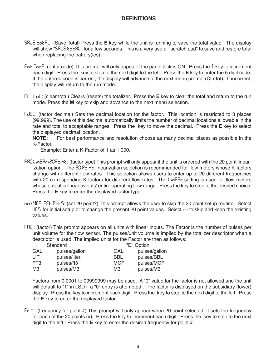- Save Total: (Save Total) Press the **E** key while the unit is running to save the total value. The display will show "SRUE totRL" for a few seconds. This is a very useful "scratch pad" to save and restore total when replacing the battery(ies)
- Ent Code: (enter code) This prompt will only appear if the panel lock is ON. Press the  $\uparrow$  key to increment each digit. Press the key to step to the next digit to the left. Press the **E** key to enter the 5 digit code. If the entered code is correct, the display will advance to the next menu prompt (CLr tot). If incorrect, the display will return to the run mode.
- Clr tot: (clear total) Clears (resets) the totalizer. Press the **E** key to clear the total and return to the run mode. Press the **M** key to skip and advance to the next menu selection.
- FdEC: (factor decimal) Sets the decimal location for the factor. This location is restricted to 3 places (99.999). The use of this decimal automatically limits the number of decimal locations allowable in the rate and total to acceptable ranges. Press the key to move the decimal. Press the **E** key to select the displayed decimal location.<br> **NOTE:** For best performance

For best performance and resolution choose as many decimal places as possible in the K-Factor.

Example: Enter a K-Factor of 1 as 1.000.

- **FRC LInear-/20Point: (factor type) This prompt will only appear if the unit is ordered with the 20 point linear**ization option. The  $20$  Point linearization selection is recommended for flow meters whose K-factors change with different flow rates. This selection allows users to enter up to 20 different frequencies with 20 corresponding K-factors for different flow rates. The  $L_1 \cap E$ R- setting is used for flow meters whose output is linear over its' entire operating flow range. Press the key to step to the desired choice. Press the **E** key to enter the displayed factor type.
- no / YES SEE PnES: (set 20 point?) This prompt allows the user to skip the 20 point setup routine. Select  $45$  for initial setup or to change the present 20 point values. Select  $\sim$  to skip and keep the existing values.

faC : (factor) This prompt appears on all units with linear inputs. The Factor is the number of pulses per unit volume for the flow sensor. The pulses/unit volume is implied by the totalizer descriptor when a descriptor is used. The implied units for the Factor are then as follows:

|  |      | Standard      |            | <u>"D" Option</u> |
|--|------|---------------|------------|-------------------|
|  | GAL  | pulses/gallon | GAL        | pulses/gallon     |
|  | l IT | pulses/liter  | BBL        | pulses/BBL        |
|  | FT3  | pulses/ft3    | <b>MCF</b> | pulses/MCF        |
|  | MЗ   | pulses/M3     | MЗ         | pulses/M3         |

Factors from 0.0001 to 99999999 may be used. A "0" value for the factor is not allowed and the unit will default to "1" in LSD if a "0" entry is attempted. The factor is displayed on the subsidiary (lower) display. Press the key to increment each digit. Press the key to step to the next digit to the left. Press the **E** key to enter the displayed factor.

 $F - \#$ : (frequency for point  $\#$ ) This prompt will only appear when 20 point selected. It sets the frequency for each of the 20 points (#). Press the key to increment each digit. Press the key to step to the next digit to the left. Press the **E** key to enter the desired frequency for point #.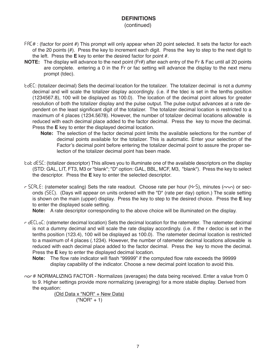#### (continued)

- FRC# : (factor for point #) This prompt will only appear when 20 point selected. It sets the factor for each of the 20 points (#). Press the key to increment each digit. Press the key to step to the next digit to the left. Press the **E** key to enter the desired factor for point #.
- **NOTE:** The display will advance to the next point (Fr#) after each entry of the Fr & Fac until all 20 points are complete. entering a 0 in the Fr or fac setting will advance the display to the next menu prompt (tdec).
- tdeC: (totalizer decimal) Sets the decimal location for the totalizer. The totalizer decimal is not a dummy decimal and will scale the totalizer display accordingly. (i.e. if the tdec is set in the tenths position (1234567.8), 100 will be displayed as 100.0). The location of the decimal point allows for greater resolution of both the totalizer display and the pulse output. The pulse output advances at a rate dependent on the least significant digit of the totalizer. The totalizer decimal location is restricted to a maximum of 4 places (1234.5678). However, the number of totalizer decimal locations allowable is reduced with each decimal place added to the factor decimal. Press the key to move the decimal. Press the **E** key to enter the displayed decimal location.
	- **Note:** The selection of the factor decimal point limits the available selections for the number of decimal points available for the totalizer. This is automatic. Enter your selection of the Factor's decimal point before entering the totalizer decimal point to assure the proper selection of the totalizer decimal point has been made.
- tot desC: (totalizer descriptor) This allows you to illuminate one of the available descriptors on the display (STD: GAL, LIT, FT3, M3 or "blank"; "D" option: GAL, BBL, MCF, M3, "blank"). Press the key to select the descriptor. Press the **E** key to enter the selected descriptor.
- r SEBLE: (ratemeter scaling) Sets the rate readout. Choose rate per hour (HrS), minutes (nnin) or seconds (5EC). (Days will appear on units ordered with the "D" (rate per day) option.) The scale setting is shown on the main (upper) display. Press the key to step to the desired choice. Press the **E** key to enter the displayed scale setting.

**Note:** A rate descriptor corresponding to the above choice will be illuminated on the display.

r deCloC: (ratemeter decimal location) Sets the decimal location for the ratemeter. The ratemeter decimal is not a dummy decimal and will scale the rate display accordingly. (i.e. if the r decloc is set in the tenths position (123.4), 100 will be displayed as 100.0). The ratemeter decimal location is restricted to a maximum of 4 places (.1234). However, the number of ratemeter decimal locations allowable is reduced with each decimal place added to the factor decimal. Press the key to move the decimal. Press the **E** key to enter the displayed decimal location.

**Note:** The flow rate indicator will flash "99999" if the computed flow rate exceeds the 99999 display capability of the indicator. Choose a new decimal point location to avoid this.

nor # NORMALIZING FACTOR - Normalizes (averages) the data being received. Enter a value from 0 to 9. Higher settings provide more normalizing (averaging) for a more stable display. Derived from the equation:

(Old Data x "NOR" + New Data)

("NOR" + 1)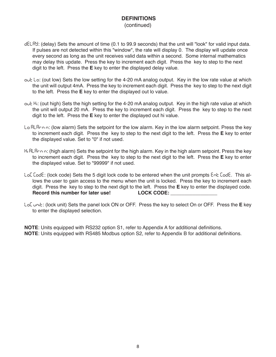(continued)

- delay: (delay) Sets the amount of time (0.1 to 99.9 seconds) that the unit will "look" for valid input data. If pulses are not detected within this "window", the rate will display 0. The display will update once every second as long as the unit receives valid data within a second. Some internal mathematics may delay this update. Press the key to increment each digit. Press the key to step to the next digit to the left. Press the **E** key to enter the displayed delay value.
- out Lo: (out low) Sets the low setting for the 4-20 mA analog output. Key in the low rate value at which the unit will output 4mA. Press the key to increment each digit. Press the key to step to the next digit to the left. Press the **E** key to enter the displayed out lo value.
- out H<sub>i</sub>: (out high) Sets the high setting for the 4-20 mA analog output. Key in the high rate value at which the unit will output 20 mA. Press the key to increment each digit. Press the key to step to the next digit to the left. Press the **E** key to enter the displayed out hi value.
- Lo RLB<sub>rn</sub> n: (low alarm) Sets the setpoint for the low alarm. Key in the low alarm setpoint. Press the key to increment each digit. Press the key to step to the next digit to the left. Press the **E** key to enter the displayed value. Set to "0" if not used.
- H<sub>i</sub> BLB<sub>cnn</sub>: (high alarm) Sets the setpoint for the high alarm. Key in the high alarm setpoint. Press the key to increment each digit. Press the key to step to the next digit to the left. Press the **E** key to enter the displayed value. Set to "99999" if not used.
- LoC CodE: (lock code) Sets the 5 digit lock code to be entered when the unit prompts Ent CodE. This allows the user to gain access to the menu when the unit is locked. Press the key to increment each digit. Press the key to step to the next digit to the left. Press the **E** key to enter the displayed code. **Record this number for later use! LOCK CODE: \_\_\_\_\_\_\_\_\_\_\_\_\_\_\_\_\_**
- loC UnIt: (lock unit) Sets the panel lock ON or OFF. Press the key to select On or OFF. Press the **E** key to enter the displayed selection.

**NOTE**: Units equipped with RS232 option S1, refer to Appendix A for additional definitions. **NOTE**: Units equipped with RS485 Modbus option S2, refer to Appendix B for additional definitions.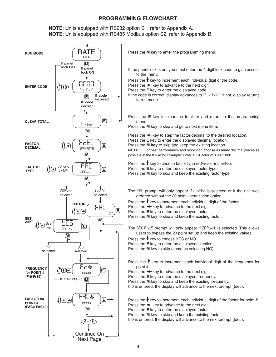**NOTE**: Units equipped with RS232 option S1, refer to Appendix A. **NOTE**: Units equipped with RS485 Modbus option S2, refer to Appendix B.



Press the **M** key to enter the programming menu.

If the panel lock is on, you must enter the 4 digit lock code to gain access to the menu.

Press the  $\uparrow$  key to increment each individual digit of the code.

Press the  $\leftarrow$  key to advance to the next digit.

Press the **E** key to enter the displayed code.

If the code is correct, display advances to "ELr bob", if not, display returns to run mode

Press the **E** key to clear the totalizer and return to the programming menu.

Press the **M** key to skip and go to next menu item.

Press the  $\leftarrow$  key to step the factor decimal to the desired location. Press the **E** key to enter the displayed decimal location.

Press the **M key** to skip and keep the existing location

**NOTE:** For best performance and resolution choose as many decimal places as possible in the K-Factor.Example: Enter a K-Factor of 1 as 1.000.

Press the  $\uparrow$  key to choose factor type (20Point or LinERr).

Press the **E** key to enter the displayed factor type.

Press the **M** key to skip and keep the existing factor type.

The FRC prompt will only appear if LinERr is selected or if the unit was ordered without the 20 point linearization option.

Press the  $\uparrow$  key to increment each individual digit of the factor.

Press the  $\leftarrow$  key to advance to the next digit.

Press the **E** key to enter the displayed factor.

Press the **M** key to skip and keep the existing factor.

The SEE PoES prompt will only appear if 20Point is selected. This allows users to bypass the 20 point set up and keep the existing values.

Press the  $\uparrow$  key to choose YES or NO.

Press the **E** key to enter the displayedselection.

Press the **M** key to skip (same as selecting NO).

Press the  $\uparrow$  key to increment each individual digit of the frequency for point #.

Press the  $\leftarrow$  key to advance to the next digit.

Press the **E** key to enter the displayed frequency.

Press the **M** key to skip and keep the existing frequency.

If 0 is entered, the display will advance to the next prompt (tdec).

Press the  $\uparrow$  key to increment each individual digit of the factor for point #. Press the  $\leftarrow$  key to advance to the next digit.

Press the **E** key to enter the displayed factor.

Press the **M** key to skip and keep the existing factor.

If 0 is entered, the display will advance to the next prompt (tdec).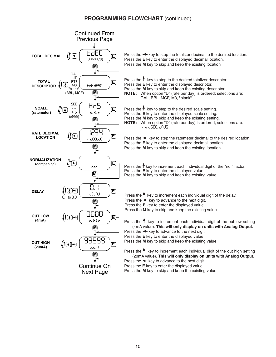### **PROGRAMMING FLOWCHART** (continued)

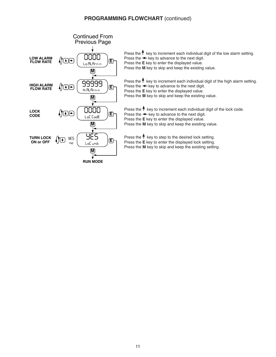## **PROGRAMMING FLOWCHART** (continued)

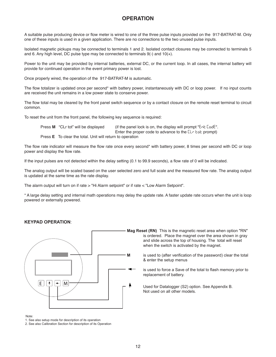## **OPERATION**

A suitable pulse producing device or flow meter is wired to one of the three pulse inputs provided on the 917-BATRAT-M. Only one of these inputs is used in a given application. There are no connections to the two unused pulse inputs.

Isolated magnetic pickups may be connected to terminals 1 and 2. Isolated contact closures may be connected to terminals 5 and 6. Any high level, DC pulse type may be connected to terminals 9(-) and 10(+).

Power to the unit may be provided by internal batteries, external DC, or the current loop. In all cases, the internal battery will provide for continued operation in the event primary power is lost.

Once properly wired, the operation of the 917-BATRAT-M is automatic.

The flow totalizer is updated once per second\* with battery power, instantaneously with DC or loop power. If no input counts are received the unit remains in a low power state to conserve power.

The flow total may be cleared by the front panel switch sequence or by a contact closure on the remote reset terminal to circuit common.

To reset the unit from the front panel, the following key sequence is required:

| Press M "CLr tot" will be displayed                              | (if the panel lock is on, the display will prompt " $E \sim E \cdot E$ and $E$ ".                    |
|------------------------------------------------------------------|------------------------------------------------------------------------------------------------------|
|                                                                  | Enter the proper code to advance to the $\mathsf{L}\mathsf{r}\mathsf{c}\mathsf{d}\mathsf{c}$ prompt) |
| Press <b>E</b> To clear the total. Unit will return to operation |                                                                                                      |

The flow rate indicator will measure the flow rate once every second\* with battery power, 8 times per second with DC or loop power and display the flow rate.

If the input pulses are not detected within the delay setting (0.1 to 99.9 seconds), a flow rate of 0 will be indicated.

The analog output will be scaled based on the user selected zero and full scale and the measured flow rate. The analog output is updated at the same time as the rate display.

The alarm output will turn on if rate > "Hi Alarm setpoint" or if rate < "Low Alarm Setpoint".

\* A large delay setting and internal math operations may delay the update rate. A faster update rate occurs when the unit is loop powered or externally powered.

#### **KEYPAD OPERATION**:



**Mag Reset (RN)** This is the magnetic reset area when option "RN" is ordered. Place the magnet over the area shown in gray and slide across the top of housing. The total will reset when the switch is activated by the magnet.

**M** is used to (after verification of the password) clear the total & enter the setup menus

> is used to force a Save of the total to flash memory prior to replacement of battery.

 Used for Datalogger (S2) option. See Appendix B. Not used on all other models.

Note:

1. See also setup mode for description of its operation

2. See also Calibration Section for description of its Operation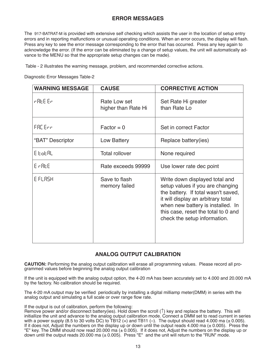## **ERROR MESSAGES**

The 917-BATRAT-M is provided with extensive self checking which assists the user in the location of setup entry errors and in reporting malfunctions or unusual operating conditions. When an error occurs, the display will flash. Press any key to see the error message corresponding to the error that has occurred. Press any key again to acknowledge the error. (If the error can be eliminated by a change of setup values, the unit will automatically advance to the MENU so that the appropriate setup changes can be made).

Table - 2 illustrates the warning message, problem, and recommended corrective actions.

Diagnostic Error Messages Table-2

| <b>WARNING MESSAGE</b> | <b>CAUSE</b>                        | <b>CORRECTIVE ACTION</b>                                                                                                                                                                                                                                    |
|------------------------|-------------------------------------|-------------------------------------------------------------------------------------------------------------------------------------------------------------------------------------------------------------------------------------------------------------|
| r 866 Er               | Rate Low set<br>higher than Rate Hi | Set Rate Hi greater<br>than Rate Lo                                                                                                                                                                                                                         |
| FRE Enn                | $Factor = 0$                        | Set in correct Factor                                                                                                                                                                                                                                       |
| "BAT" Descriptor       | Low Battery                         | Replace battery(ies)                                                                                                                                                                                                                                        |
| 8 EoEAL                | <b>Total rollover</b>               | None required                                                                                                                                                                                                                                               |
| E AREE                 | Rate exceeds 99999                  | Use lower rate dec point                                                                                                                                                                                                                                    |
| E FLASH                | Save to flash<br>memory failed      | Write down displayed total and<br>setup values if you are changing<br>the battery. If total wasn't saved,<br>it will display an arbitrary total<br>when new battery is installed. In<br>this case, reset the total to 0 and<br>check the setup information. |

#### **ANALOG OUTPUT CALIBRATION**

**CAUTION:** Performing the analog output calibration will erase all programming values. Please record all programmed values before beginning the analog output calibration

If the unit is equipped with the analog output option, the 4-20 mA has been accurately set to 4.000 and 20.000 mA by the factory. No calibration should be required.

The 4-20 mA output may be verified periodically by installing a digital milliamp meter(DMM) in series with the analog output and simulating a full scale or over range flow rate.

If the output is out of calibration, perform the following:

Remove power and/or disconnect battery(ies). Hold down the scroll  $(†)$  key and replace the battery. This will initiallize the unit and advance to the analog output calibration mode. Connect a DMM set to read current in series with a power supply (8.5 to 30 volts DC) to  $\text{TB12 (+)}$  and TB11 (-). The output should read 4.000 ma ( $\pm$  0.005). If it does not, Adjust the numbers on the display up or down until the output reads 4.000 ma  $(± 0.005)$ . Press the "E" key. The DMM should now read 20.000 ma  $(\pm 0.005)$ . If it does not, Adjust the numbers on the display up or down until the output reads 20.000 ma  $(\pm 0.005)$ . Press "E" and the unit will return to the "RUN" mode.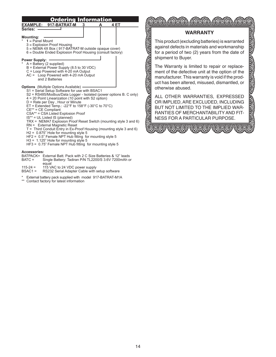

- BATPACK= External Batt. Pack with 2 C Size Batteries & 12" leads<br>BATC = Single Battery: Tadiran P/N TL2200/S 3.6V 7200mAh o Single Battery: Tadiran P/N TL2200/S 3.6V 7200mAh or equal
- 115-24 = 115 VAC to 24 VDC power supply<br>BSAC1 = RS232 Serial Adapter Cable with
- RS232 Serial Adapter Cable with setup software
- \* External battery pack supplied with model 917-BATRAT-M1A
- Contact factory for latest information

#### **WARRANTY**

This product (excluding batteries) is warranted against defects in materials and workmanship for a period of two (2) years from the date of shipment to Buyer.

The Warranty is limited to repair or replacement of the defective unit at the option of the manufacturer. This warranty is void if the product has been altered, misused, dismantled, or otherwise abused.

**REPORT OF A STRAIGHTE** 

ALL OTHER WARRANTIES, EXPRESSED OR IMPLIED, ARE EXCLUDED, INCLUDING BUT NOT LIMITED TO THE IMPLIED WAR-RANTIES OF MERCHANTABILITY AND FIT-NESS FOR A PARTICULAR PURPOSE.

<u> 1973 - 1973 - 1973 - 1974 - 1985 - 1986 - 1987 - 1988 - 1988 - 1988 - 1988 - 1988 - 1988 - 1988 - 1988 - 198</u>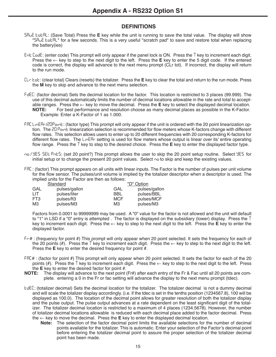- Save Total: (Save Total) Press the **E** key while the unit is running to save the total value. The display will show "SA<sub>V</sub>E total " for a few seconds. This is a very useful "scratch pad" to save and restore total when replacing the battery(ies)
- ent Code: (enter code) This prompt will only appear if the panel lock is ON. Press the ↑ key to increment each digit. Press the ← key to step to the next digit to the left. Press the **E** key to enter the 5 digit code. If the entered code is correct, the display will advance to the next menu prompt (CLr tot). If incorrect, the display will return to the run mode.
- Clr tot: (clear total) Clears (resets) the totalizer. Press the **E** key to clear the total and return to the run mode. Press the **M** key to skip and advance to the next menu selection.
- FdEC: (factor decimal) Sets the decimal location for the factor. This location is restricted to 3 places (99.999). The use of this decimal automatically limits the number of decimal locations allowable in the rate and total to acceptable ranges. Press the ← key to move the decimal. Press the **E** key to select the displayed decimal location.<br>**NOTE:** For best performance and resolution choose as many decimal places as possible in the K-Factor. For best performance and resolution choose as many decimal places as possible in the K-Factor. Example: Enter a K-Factor of 1 as 1.000.
- FBC L<sub>ID</sub>EB<sub>C</sub>/20Point: (factor type) This prompt will only appear if the unit is ordered with the 20 point linearization option. The 20 Point linearization selection is recommended for flow meters whose K-factors change with different flow rates. This selection allows users to enter up to 20 different frequencies with 20 corresponding K-factors for different flow rates. The L<sub>IDER</sub> setting is used for flow meters whose output is linear over its' entire operating flow range. Press the ↑ key to step to the desired choice. Press the **E** key to enter the displayed factor type.
- no / YES SEE PnES: (set 20 point?) This prompt allows the user to skip the 20 point setup routine. Select YES for initial setup or to change the present 20 point values. Select  $\sim$  to skip and keep the existing values.
- faC : (factor) This prompt appears on all units with linear inputs. The Factor is the number of pulses per unit volume for the flow sensor. The pulses/unit volume is implied by the totalizer descriptor when a descriptor is used. The implied units for the Factor are then as follows:

| Standard |               | "D" Option |               |
|----------|---------------|------------|---------------|
| GAL      | pulses/gallon | GAL        | pulses/gallon |
| I IT     | pulses/liter  | BBL        | pulses/BBL    |
| FT3      | pulses/ft3    | <b>MCF</b> | pulses/MCF    |
| MЗ       | pulses/M3     | M3         | pulses/M3     |

Factors from 0.0001 to 99999999 may be used. A "0" value for the factor is not allowed and the unit will default to "1" in LSD if a "0" entry is attempted . The factor is displayed on the subsidiary (lower) display. Press the  $\uparrow$ key to increment each digit. Press the ← key to step to the next digit to the left. Press the **E** key to enter the displayed factor.

- fr# : (frequency for point #) This prompt will only appear when 20 point selected. It sets the frequency for each of the 20 points (#). Press the  $\uparrow$  key to increment each digit. Press the  $\leftarrow$  key to step to the next digit to the left. Press the **E** key to enter the desired frequency for point #.
- FRC#: (factor for point #) This prompt will only appear when 20 point selected. It sets the factor for each of the 20 points (#). Press the  $\uparrow$  key to increment each digit. Press the  $\leftarrow$  key to step to the next digit to the left. Press the **E** key to enter the desired factor for point #.
- **NOTE:** The display will advance to the next point (Fr#) after each entry of the Fr & Fac until all 20 points are complete. entering a 0 in the Fr or fac setting will advance the display to the next menu prompt (tdec).
- tdeC: (totalizer decimal) Sets the decimal location for the totalizer. The totalizer decimal is not a dummy decimal and will scale the totalizer display accordingly. (i.e. if the tdec is set in the tenths position (1234567.8), 100 will be displayed as 100.0). The location of the decimal point allows for greater resolution of both the totalizer display and the pulse output. The pulse output advances at a rate dependent on the least significant digit of the totalizer. The totalizer decimal location is restricted to a maximum of 4 places (1234.5678). However, the number of totalizer decimal locations allowable is reduced with each decimal place added to the factor decimal. Press the  $\leftarrow$  key to move the decimal. Press the **E** key to enter the displayed decimal location.
	- **Note:** The selection of the factor decimal point limits the available selections for the number of decimal points available for the totalizer. This is automatic. Enter your selection of the Factor's decimal point before entering the totalizer decimal point to assure the proper selection of the totalizer decimal point has been made.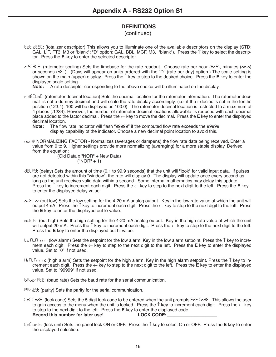#### (continued)

- tot desC: (totalizer descriptor) This allows you to illuminate one of the available descriptors on the display (STD: GAL, LIT, FT3, M3 or "blank"; "D" option: GAL, BBL, MCF, M3, "blank"). Press the ↑ key to select the descriptor. Press the **E** key to enter the selected descriptor.
- r SLRLE: (ratemeter scaling) Sets the timebase for the rate readout. Choose rate per hour (Hr5), minutes (nnin) or seconds (SEC). (Days will appear on units ordered with the "D" (rate per day) option.) The scale setting is shown on the main (upper) display. Press the ↑ key to step to the desired choice. Press the **E** key to enter the displayed scale setting.

**Note:** A rate descriptor corresponding to the above choice will be illuminated on the display.

- r deCloC: (ratemeter decimal location) Sets the decimal location for the ratemeter information. The ratemeter decimal is not a dummy decimal and will scale the rate display accordingly. (i.e. if the r decloc is set in the tenths position (123.4), 100 will be displayed as 100.0). The ratemeter decimal location is restricted to a maximum of 4 places (.1234). However, the number of ratemeter decimal locations allowable is reduced with each decimal place added to the factor decimal. Press the ← key to move the decimal. Press the **E** key to enter the displayed decimal location.<br>**Note:** The flow
	- **Note:** The flow rate indicator will flash "99999" if the computed flow rate exceeds the 99999 display capability of the indicator. Choose a new decimal point location to avoid this.
- nor # NORMALIZING FACTOR Normalizes (averages or dampens) the flow rate data being received. Enter a value from 0 to 9. Higher settings provide more normalizing (averaging) for a more stable display. Derived from the equation:

(Old Data x "NOR" + New Data) ("NOR" + 1)

- delay: (delay) Sets the amount of time (0.1 to 99.9 seconds) that the unit will "look" for valid input data. If pulses are not detected within this "window", the rate will display 0. The display will update once every second as long as the unit receives valid data within a second. Some internal mathematics may delay this update. Press the ↑ key to increment each digit. Press the ← key to step to the next digit to the left. Press the **E** key to enter the displayed delay value.
- out Lo: (out low) Sets the low setting for the 4-20 mA analog output. Key in the low rate value at which the unit will output 4mA. Press the  $\uparrow$  key to increment each digit. Press the  $\leftarrow$  key to step to the next digit to the left. Press the **E** key to enter the displayed out lo value.
- out H<sub>i</sub>: (out high) Sets the high setting for the 4-20 mA analog output. Key in the high rate value at which the unit will output 20 mA. Press the  $\uparrow$  key to increment each digit. Press the  $\leftarrow$  key to step to the next digit to the left. Press the **E** key to enter the displayed out hi value.
- lo alarm: (low alarm) Sets the setpoint for the low alarm. Key in the low alarm setpoint. Press the ↑ key to increment each digit. Press the ← key to step to the next digit to the left. Press the **E** key to enter the displayed value. Set to "0" if not used.
- hi alarm: (high alarm) Sets the setpoint for the high alarm. Key in the high alarm setpoint. Press the ↑ key to increment each digit. Press the ← key to step to the next digit to the left. Press the **E** key to enter the displayed value. Set to "99999" if not used.

bAudrAtE: (baud rate) Sets the baud rate for the serial communication.

PR<sub>rit</sub>y: (parity) Sets the parity for the serial communication.

- LoC Code: (lock code) Sets the 5 digit lock code to be entered when the unit prompts Ent Code. This allows the user to gain access to the menu when the unit is locked. Press the  $\uparrow$  key to increment each digit. Press the  $\leftarrow$  key to step to the next digit to the left. Press the **E** key to enter the displayed code.<br>**Record this number for later use!** LOCK CODE: **Record this number for later use!**
- loC UnIt: (lock unit) Sets the panel lock ON or OFF. Press the ↑ key to select On or OFF. Press the **E** key to enter the displayed selection.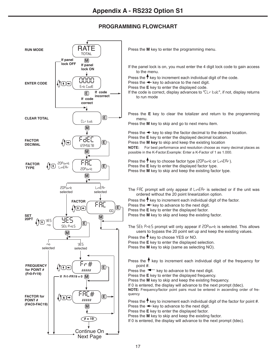

Press the **M** key to enter the programming menu.

- If the panel lock is on, you must enter the 4 digit lock code to gain access to the menu.
- Press the  $\uparrow$  key to increment each individual digit of the code.
- Press the  $\leftarrow$  key to advance to the next digit.
- Press the **E** key to enter the displayed code.
- If the code is correct, display advances to "ELr bob", if not, display returns to run mode
- Press the **E** key to clear the totalizer and return to the programming menu.

Press the **M** key to skip and go to next menu item.

Press the  $\triangleleft$  key to step the factor decimal to the desired location. Press the **E** key to enter the displayed decimal location. Press the **M key** to skip and keep the existing location

**NOTE:** For best performance and resolution choose as many decimal places as possible in the K-Factor.Example: Enter a K-Factor of 1 as 1.000.

Press the  $\uparrow$  key to choose factor type (20Point or LinERr). Press the **E** key to enter the displayed factor type. Press the **M** key to skip and keep the existing factor type.

The FRC prompt will only appear if  $L_1 \cap ER$  is selected or if the unit was ordered without the 20 point linearization option.

Press the  $\uparrow$  key to increment each individual digit of the factor.

Press the  $\leftarrow$  key to advance to the next digit.

Press the **E** key to enter the displayed factor.

Press the **M** key to skip and keep the existing factor.

The SEE PoES prompt will only appear if 20Point is selected. This allows users to bypass the 20 point set up and keep the existing values.

Press the  $\uparrow$  key to choose YES or NO.

Press the **E** key to enter the displayed selection.

Press the **M** key to skip (same as selecting NO).

Press the  $\uparrow$  key to increment each individual digit of the frequency for point #.

Press the  $\blacktriangleleft$  key to advance to the next digit.

Press the **E** key to enter the displayed frequency.

Press the **M** key to skip and keep the existing frequency.

If 0 is entered, the display will advance to the next prompt (tdec).

**NOTE:** Frequency/factor point pairs must be entered in ascending order of frequency

Press the  $\uparrow$  key to increment each individual digit of the factor for point #. Press the  $\leftarrow$  key to advance to the next digit.

Press the **E** key to enter the displayed factor.

Press the **M** key to skip and keep the existing factor.

If 0 is entered, the display will advance to the next prompt (tdec).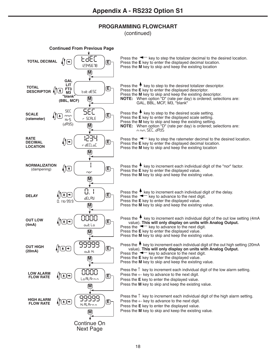(continued)

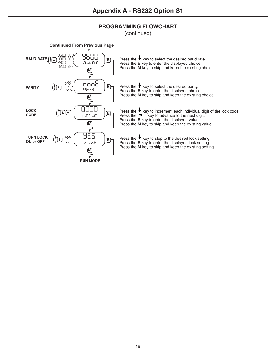(continued)

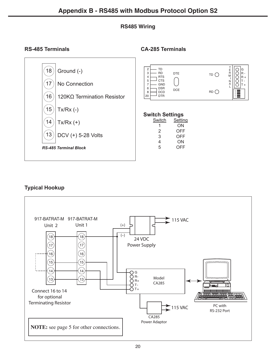## **RS485 Wiring**

## **RS-485 Terminals CA-285 Terminals**



## **Typical Hookup**

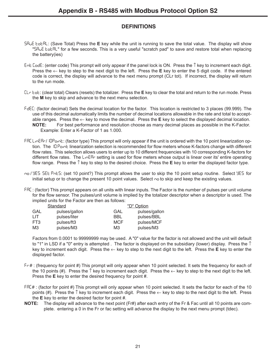- Save Total: (Save Total) Press the **E** key while the unit is running to save the total value. The display will show "SR<sub>U</sub>E tot RL" for a few seconds. This is a very useful "scratch pad" to save and restore total when replacing the battery(ies)
- ent Code: (enter code) This prompt will only appear if the panel lock is ON. Press the ↑ key to increment each digit. Press the ← key to step to the next digit to the left. Press the **E** key to enter the 5 digit code. If the entered code is correct, the display will advance to the next menu prompt (CLr tot). If incorrect, the display will return to the run mode.
- Clr tot: (clear total) Clears (resets) the totalizer. Press the **E** key to clear the total and return to the run mode. Press the **M** key to skip and advance to the next menu selection.
- FdEC: (factor decimal) Sets the decimal location for the factor. This location is restricted to 3 places (99.999). The use of this decimal automatically limits the number of decimal locations allowable in the rate and total to acceptable ranges. Press the ← key to move the decimal. Press the **E** key to select the displayed decimal location. **NOTE:** For best performance and resolution choose as many decimal places as possible in the K-Factor. Example: Enter a K-Factor of 1 as 1.000.
- FRE Linear/ICPoint: (factor type) This prompt will only appear if the unit is ordered with the 10 point linearization option. The ID Point linearization selection is recommended for flow meters whose K-factors change with different flow rates. This selection allows users to enter up to 10 different frequencies with 10 corresponding K-factors for different flow rates. The  $L_1 \circ E_1$  setting is used for flow meters whose output is linear over its' entire operating flow range. Press the ↑ key to step to the desired choice. Press the **E** key to enter the displayed factor type.
- no / YES SEE PnES: (set 10 point?) This prompt allows the user to skip the 10 point setup routine. Select YES for initial setup or to change the present 10 point values. Select  $\sim$  to skip and keep the existing values.
- faC : (factor) This prompt appears on all units with linear inputs. The Factor is the number of pulses per unit volume for the flow sensor. The pulses/unit volume is implied by the totalizer descriptor when a descriptor is used. The implied units for the Factor are then as follows:

| Standard |               | "D" Option |               |
|----------|---------------|------------|---------------|
| GAL      | pulses/gallon | GAL        | pulses/gallon |
| LIT      | pulses/liter  | BBL        | pulses/BBL    |
| FT3      | pulses/ft3    | <b>MCF</b> | pulses/MCF    |
| MЗ       | pulses/M3     | M3         | pulses/M3     |

Factors from 0.0001 to 99999999 may be used. A "0" value for the factor is not allowed and the unit will default to "1" in LSD if a "0" entry is attempted . The factor is displayed on the subsidiary (lower) display. Press the  $\uparrow$ key to increment each digit. Press the ← key to step to the next digit to the left. Press the **E** key to enter the displayed factor.

- fr# : (frequency for point #) This prompt will only appear when 10 point selected. It sets the frequency for each of the 10 points (#). Press the  $\uparrow$  key to increment each digit. Press the  $\leftarrow$  key to step to the next digit to the left. Press the **E** key to enter the desired frequency for point #.
- FRE# : (factor for point #) This prompt will only appear when 10 point selected. It sets the factor for each of the 10 points (#). Press the  $\uparrow$  key to increment each digit. Press the  $\leftarrow$  key to step to the next digit to the left. Press the **E** key to enter the desired factor for point #.
- **NOTE:** The display will advance to the next point (Fr#) after each entry of the Fr & Fac until all 10 points are complete. entering a 0 in the Fr or fac setting will advance the display to the next menu prompt (tdec).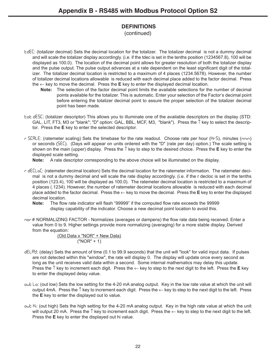(continued)

- tdeC: (totalizer decimal) Sets the decimal location for the totalizer. The totalizer decimal is not a dummy decimal and will scale the totalizer display accordingly. (i.e. if the tdec is set in the tenths position (1234567.8), 100 will be displayed as 100.0). The location of the decimal point allows for greater resolution of both the totalizer display and the pulse output. The pulse output advances at a rate dependent on the least significant digit of the totalizer. The totalizer decimal location is restricted to a maximum of 4 places (1234.5678). However, the number of totalizer decimal locations allowable is reduced with each decimal place added to the factor decimal. Press the ← key to move the decimal. Press the **E** key to enter the displayed decimal location.
	- **Note:** The selection of the factor decimal point limits the available selections for the number of decimal points available for the totalizer. This is automatic. Enter your selection of the Factor's decimal point before entering the totalizer decimal point to assure the proper selection of the totalizer decimal point has been made.
- tot desC: (totalizer descriptor) This allows you to illuminate one of the available descriptors on the display (STD: GAL, LIT, FT3, M3 or "blank"; "D" option: GAL, BBL, MCF, M3, "blank"). Press the  $\uparrow$  key to select the descriptor. Press the **E** key to enter the selected descriptor.
- r SCRLE: (ratemeter scaling) Sets the timebase for the rate readout. Choose rate per hour (Hr5), minutes (nnin) or seconds (seC). (Days will appear on units ordered with the "D" (rate per day) option.) The scale setting is shown on the main (upper) display. Press the ↑ key to step to the desired choice. Press the **E** key to enter the displayed scale setting.

**Note:** A rate descriptor corresponding to the above choice will be illuminated on the display.

- r deCloC: (ratemeter decimal location) Sets the decimal location for the ratemeter information. The ratemeter decimal is not a dummy decimal and will scale the rate display accordingly. (i.e. if the r decloc is set in the tenths position (123.4), 100 will be displayed as 100.0). The ratemeter decimal location is restricted to a maximum of 4 places (.1234). However, the number of ratemeter decimal locations allowable is reduced with each decimal place added to the factor decimal. Press the ← key to move the decimal. Press the **E** key to enter the displayed decimal location.
	- **Note:** The flow rate indicator will flash "99999" if the computed flow rate exceeds the 99999 display capability of the indicator. Choose a new decimal point location to avoid this.
- nor # NORMALIZING FACTOR Normalizes (averages or dampens) the flow rate data being received. Enter a value from 0 to 9. Higher settings provide more normalizing (averaging) for a more stable display. Derived from the equation:

(Old Data x "NOR" + New Data) ("NOR" + 1)

- delay: (delay) Sets the amount of time (0.1 to 99.9 seconds) that the unit will "look" for valid input data. If pulses are not detected within this "window", the rate will display 0. The display will update once every second as long as the unit receives valid data within a second. Some internal mathematics may delay this update. Press the ↑ key to increment each digit. Press the ← key to step to the next digit to the left. Press the **E** key to enter the displayed delay value.
- out Lo: (out low) Sets the low setting for the 4-20 mA analog output. Key in the low rate value at which the unit will output 4mA. Press the ↑ key to increment each digit. Press the ← key to step to the next digit to the left. Press the **E** key to enter the displayed out lo value.
- out H<sub>i</sub>: (out high) Sets the high setting for the 4-20 mA analog output. Key in the high rate value at which the unit will output 20 mA. Press the  $\uparrow$  key to increment each digit. Press the  $\leftarrow$  key to step to the next digit to the left. Press the **E** key to enter the displayed out hi value.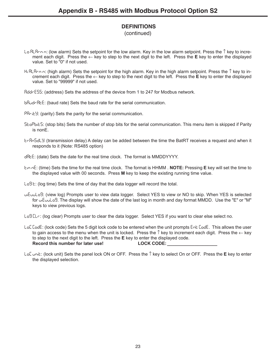(continued)

- lo alarm: (low alarm) Sets the setpoint for the low alarm. Key in the low alarm setpoint. Press the ↑ key to increment each digit. Press the ← key to step to the next digit to the left. Press the **E** key to enter the displayed value. Set to "0" if not used.
- hi alarm: (high alarm) Sets the setpoint for the high alarm. Key in the high alarm setpoint. Press the ↑ key to increment each digit. Press the ← key to step to the next digit to the left. Press the **E** key to enter the displayed value. Set to "99999" if not used.
- AddrESS: (address) Sets the address of the device from 1 to 247 for Modbus network.
- bAudrAtE: (baud rate) Sets the baud rate for the serial communication.
- PRrity: (parity) Sets the parity for the serial communication.
- StoPbitS: (stop bits) Sets the number of stop bits for the serial communication. This menu item is skipped if Parity is nonE.
- trAnSdly: (transmission delay) A delay can be added between the time the BatRT receives a request and when it responds to it (Note: RS485 option)
- dAtE: (date) Sets the date for the real time clock. The format is MMDDYYYY.
- timE: (time) Sets the time for the real time clock. The format is HHMM . **NOTE:** Pressing **E** key will set the time to the displayed value with 00 seconds. Press **M** key to keep the existing running time value.
- $LoB$   $E:$  (log time) Sets the time of day that the data logger will record the total.
- ViEuuLog: (view log) Prompts user to view data logger. Select YES to view or NO to skip. When YES is selected for  $u\bar{E}u\bar{u}L\bar{d}$ . The display will show the date of the last log in month and day format MMDD. Use the "E" or "M" keys to view previous logs.
- Log CL<sub>r</sub>: (log clear) Prompts user to clear the data logger. Select YES if you want to clear else select no.
- LoC Code: (lock code) Sets the 5 digit lock code to be entered when the unit prompts Ent Code. This allows the user to gain access to the menu when the unit is locked. Press the  $\uparrow$  key to increment each digit. Press the  $\leftarrow$  key to step to the next digit to the left. Press the **E** key to enter the displayed code. **Record this number for later use! LOCK CODE: \_\_\_\_\_\_\_\_\_\_\_\_\_\_\_\_\_\_\_\_**
- loC UnIt: (lock unit) Sets the panel lock ON or OFF. Press the ↑ key to select On or OFF. Press the **E** key to enter the displayed selection.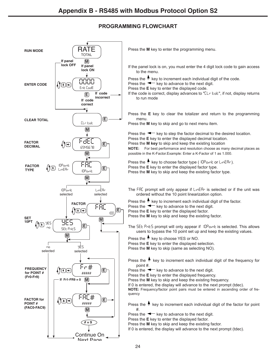

Press the **M** key to enter the programming menu.

If the panel lock is on, you must enter the 4 digit lock code to gain access to the menu.

Press the  $\uparrow$  key to increment each individual digit of the code.

Press the  $\blacktriangleleft$  key to advance to the next digit.

Press the **E** key to enter the displayed code.

If the code is correct, display advances to "EL- bot", if not, display returns to run mode

Press the **E** key to clear the totalizer and return to the programming menu.

Press the **M** key to skip and go to next menu item.

Press the  $\blacktriangleleft$  key to step the factor decimal to the desired location. Press the **E** key to enter the displayed decimal location. Press the **M key** to skip and keep the existing location **NOTE:** For best performance and resolution choose as many decimal places as possible in the K-Factor.Example: Enter a K-Factor of 1 as 1.000.

Press the  $\uparrow$  key to choose factor type ( $10\text{P}$ oint or linear). Press the **E** key to enter the displayed factor type. Press the **M** key to skip and keep the existing factor type.

The FRE prompt will only appear if LinERr is selected or if the unit was ordered without the 10 point linearization option.

Press the  $\uparrow$  key to increment each individual digit of the factor.

Press the  $\leftarrow$  key to advance to the next digit.

Press the **E** key to enter the displayed factor.

Press the **M** key to skip and keep the existing factor.

The SEE PoES prompt will only appear if 10Point is selected. This allows users to bypass the 10 point set up and keep the existing values.

Press the  $\uparrow$  key to choose YES or NO.

Press the **E** key to enter the displayed selection.

Press the **M** key to skip (same as selecting NO).

Press the  $\uparrow$  key to increment each individual digit of the frequency for point #.

Press the  $\blacktriangleleft$  key to advance to the next digit.

Press the **E** key to enter the displayed frequency.

Press the **M** key to skip and keep the existing frequency.

If 0 is entered, the display will advance to the next prompt (tdec).

**NOTE:** Frequency/factor point pairs must be entered in ascending order of frequency

Press the  $\uparrow$  key to increment each individual digit of the factor for point #.

Press the  $\blacktriangleleft$  key to advance to the next digit.

Press the **E** key to enter the displayed factor.

Press the **M** key to skip and keep the existing factor.

If 0 is entered, the display will advance to the next prompt (tdec).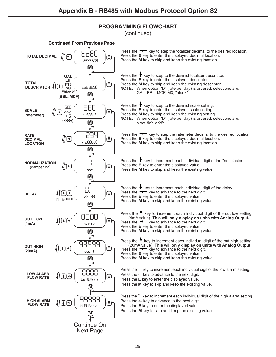(continued)

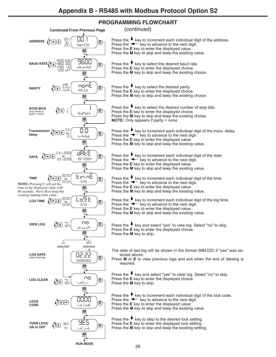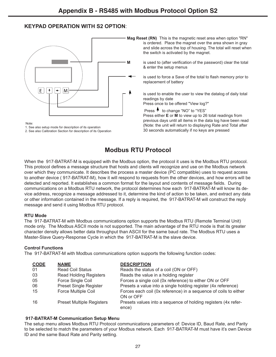## **KEYPAD OPERATION WITH S2 OPTION**:



Note:

1. See also setup mode for description of its operation

2. See also Calibration Section for description of its Operation

**Mag Reset (RN)** This is the magnetic reset area when option "RN" is ordered. Place the magnet over the area shown in gray and slide across the top of housing. The total will reset when the switch is activated by the magnet.

**M** is used to (after verification of the password) clear the total & enter the setup menus

> is used to force a Save of the total to flash memory prior to replacement of battery

> is used to enable the user to view the datalog of daily total readings by date

Press once to be offered "View log?"

Press  $\uparrow$  to change "NO" to "YES"

 Press either **E** or **M** to view up to 26 total readings from previous days until all items in the data log have been read (Note: the unit will return to displaying Rate and Total after 30 seconds automatically if no keys are pressed

# **Modbus RTU Protocol**

When the 917-BATRAT-M is equipped with the Modbus option, the protocol it uses is the Modbus RTU protocol. This protocol defines a message structure that hosts and clients will recognize and use on the Modbus network over which they communicate. It describes the process a master device (PC compatible) uses to request access to another device ( 917-BATRAT-M), how it will respond to requests from the other devices, and how errors will be detected and reported. It establishes a common format for the layout and contents of message fields. During communications on a Modbus RTU network, the protocol determines how each 917-BATRAT-M will know its device address, recognize a message addressed to it, determine the kind of action to be taken, and extract any data or other information contained in the message. If a reply is required, the 917-BATRAT-M will construct the reply message and send it using Modbus RTU protocol.

#### **RTU Mode**

The 917-BATRAT-M with Modbus communications option supports the Modbus RTU (Remote Terminal Unit) mode only. The Modbus ASCII mode is not supported. The main advantage of the RTU mode is that its greater character density allows better data throughput than ASCII for the same baud rate. The Modbus RTU uses a Master-Slave Query-Response Cycle in which the 917-BATRAT-M is the slave device.

#### **Control Functions**

The 917-BATRAT-M with Modbus communications option supports the following function codes:

| <b>CODE</b> | <b>NAME</b>                      | <b>DESCRIPTION</b>                                                            |
|-------------|----------------------------------|-------------------------------------------------------------------------------|
| 01          | <b>Read Coil Status</b>          | Reads the status of a coil (ON or OFF)                                        |
| 03          | <b>Read Holding Registers</b>    | Reads the value in a holding register                                         |
| 05          | Force Single Coil                | Forces a single coil (0x reference) to either ON or OFF                       |
| 06          | <b>Preset Single Register</b>    | Presets a value into a single holding register (4x reference)                 |
| 15          | Force Multiple Coil              | Forces each coil (0x reference) in a sequence of coils to either<br>ON or OFF |
| 16          | <b>Preset Multiple Registers</b> | Presets values into a sequence of holding registers (4x refer-<br>ence)       |

#### **917-BATRAT-M Communication Setup Menu**

The setup menu allows Modbus RTU Protocol communications parameters of: Device ID, Baud Rate, and Parity to be selected to match the parameters of your Modbus network. Each 917-BATRAT-M must have it's own Device ID and the same Baud Rate and Parity setting.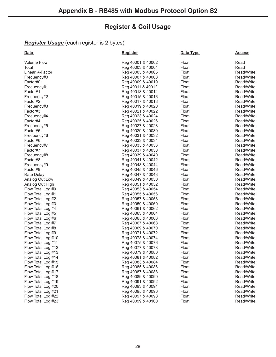# **Register & Coil Usage**

# *Register Usage* (each register is 2 bytes)

| <u>Data</u>        | <b>Register</b>   | Data Type | <u>Access</u> |
|--------------------|-------------------|-----------|---------------|
| <b>Volume Flow</b> | Reg 40001 & 40002 | Float     | Read          |
| Total              | Reg 40003 & 40004 | Float     | Read          |
| Linear K-Factor    | Reg 40005 & 40006 | Float     | Read/Write    |
| Frequency#0        | Reg 40007 & 40008 | Float     | Read/Write    |
| Factor#0           | Reg 40009 & 40010 | Float     | Read/Write    |
| Frequency#1        | Reg 40011 & 40012 | Float     | Read/Write    |
| Factor#1           | Reg 40013 & 40014 | Float     | Read/Write    |
| Frequency#2        | Reg 40015 & 40016 | Float     | Read/Write    |
| Factor#2           | Reg 40017 & 40018 | Float     | Read/Write    |
| Frequency#3        | Reg 40019 & 40020 | Float     | Read/Write    |
| Factor#3           | Reg 40021 & 40022 | Float     | Read/Write    |
| Frequency#4        | Reg 40023 & 40024 | Float     | Read/Write    |
| Factor#4           | Reg 40025 & 40026 | Float     | Read/Write    |
| Frequency#5        | Reg 40027 & 40028 | Float     | Read/Write    |
| Factor#5           | Reg 40029 & 40030 | Float     | Read/Write    |
| Frequency#6        | Reg 40031 & 40032 | Float     | Read/Write    |
| Factor#6           | Reg 40033 & 40034 | Float     | Read/Write    |
| Frequency#7        | Reg 40035 & 40036 | Float     | Read/Write    |
| Factor#7           | Reg 40037 & 40038 | Float     | Read/Write    |
| Frequency#8        | Reg 40039 & 40040 | Float     | Read/Write    |
| Factor#8           | Reg 40041 & 40042 | Float     | Read/Write    |
| Frequency#9        | Reg 40043 & 40044 | Float     | Read/Write    |
| Factor#9           | Reg 40045 & 40046 | Float     | Read/Write    |
| Rate Delay         | Reg 40047 & 40048 | Float     | Read/Write    |
| Analog Out Low     | Reg 40049 & 40050 | Float     | Read/Write    |
| Analog Out High    | Reg 40051 & 40052 | Float     | Read/Write    |
| Flow Total Log #0  | Reg 40053 & 40054 | Float     | Read/Write    |
| Flow Total Log #1  | Reg 40055 & 40056 | Float     | Read/Write    |
| Flow Total Log #2  | Reg 40057 & 40058 | Float     | Read/Write    |
| Flow Total Log #3  | Reg 40059 & 40060 | Float     | Read/Write    |
| Flow Total Log #4  | Reg 40061 & 40062 | Float     | Read/Write    |
| Flow Total Log #5  | Reg 40063 & 40064 | Float     | Read/Write    |
| Flow Total Log #6  | Reg 40065 & 40066 | Float     | Read/Write    |
| Flow Total Log #7  | Reg 40067 & 40068 | Float     | Read/Write    |
| Flow Total Log #8  | Reg 40069 & 40070 | Float     | Read/Write    |
| Flow Total Log #9  | Reg 40071 & 40072 | Float     | Read/Write    |
| Flow Total Log #10 | Reg 40073 & 40074 | Float     | Read/Write    |
| Flow Total Log #11 | Reg 40075 & 40076 | Float     | Read/Write    |
| Flow Total Log #12 | Reg 40077 & 40078 | Float     | Read/Write    |
| Flow Total Log #13 | Reg 40079 & 40080 | Float     | Read/Write    |
| Flow Total Log #14 | Reg 40081 & 40082 | Float     | Read/Write    |
| Flow Total Log #15 | Reg 40083 & 40084 | Float     | Read/Write    |
| Flow Total Log #16 | Reg 40085 & 40086 | Float     | Read/Write    |
| Flow Total Log #17 | Reg 40087 & 40088 | Float     | Read/Write    |
| Flow Total Log #18 | Reg 40089 & 40090 | Float     | Read/Write    |
| Flow Total Log #19 | Reg 40091 & 40092 | Float     | Read/Write    |
| Flow Total Log #20 | Reg 40093 & 40094 | Float     | Read/Write    |
| Flow Total Log #21 | Reg 40095 & 40096 | Float     | Read/Write    |
| Flow Total Log #22 | Reg 40097 & 40098 | Float     | Read/Write    |
| Flow Total Log #23 | Reg 40099 & 40100 | Float     | Read/Write    |
|                    |                   |           |               |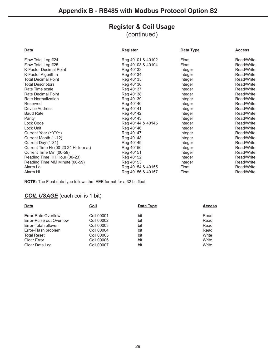# **Register & Coil Usage**

(continued)

| Data                                 | <b>Register</b>   | Data Type | <b>Access</b> |
|--------------------------------------|-------------------|-----------|---------------|
| Flow Total Log #24                   | Reg 40101 & 40102 | Float     | Read/Write    |
| Flow Total Log #25                   | Reg 40103 & 40104 | Float     | Read/Write    |
| <b>K-Factor Decimal Point</b>        | Reg 40133         | Integer   | Read/Write    |
| K-Factor Algorithm                   | Reg 40134         | Integer   | Read/Write    |
| <b>Total Decimal Point</b>           | Reg 40135         | Integer   | Read/Write    |
| <b>Total Descriptors</b>             | Reg 40136         | Integer   | Read/Write    |
| Rate Time scale                      | Reg 40137         | Integer   | Read/Write    |
| Rate Decimal Point                   | Reg 40138         | Integer   | Read/Write    |
| Rate Normalization                   | Reg 40139         | Integer   | Read/Write    |
| Reserved                             | Reg 40140         | Integer   | Read/Write    |
| Device Address                       | Reg 40141         | Integer   | Read/Write    |
| <b>Baud Rate</b>                     | Reg 40142         | Integer   | Read/Write    |
| Parity                               | Reg 40143         | Integer   | Read/Write    |
| Lock Code                            | Reg 40144 & 40145 | Integer   | Read/Write    |
| Lock Unit                            | Reg 40146         | Integer   | Read/Write    |
| Current Year (YYYY)                  | Reg 40147         | Integer   | Read/Write    |
| Current Month (1-12)                 | Reg 40148         | Integer   | Read/Write    |
| Current Day (1-31)                   | Reg 40149         | Integer   | Read/Write    |
| Current Time Hr (00-23 24 Hr format) | Reg 40150         | Integer   | Read/Write    |
| Current Time Min (00-59)             | Reg 40151         | Integer   | Read/Write    |
| Reading Time HH Hour (00-23)         | Reg 40152         | Integer   | Read/Write    |
| Reading Time MM Minute (00-59)       | Reg 40153         | Integer   | Read/Write    |
| Alarm Lo                             | Reg 40154 & 40155 | Float     | Read/Write    |
| Alarm Hi                             | Reg 40156 & 40157 | Float     | Read/Write    |
|                                      |                   |           |               |

**NOTE:** The Float data type follows the IEEE format for a 32 bit float.

## *COIL USAGE* (each coil is 1 bit)

| Data                     | <u>Coil</u>       | Data Type | <b>Access</b> |
|--------------------------|-------------------|-----------|---------------|
|                          |                   |           |               |
| Error-Rate Overflow      | Coil 00001        | bit       | Read          |
| Error-Pulse out Overflow | Coil 00002        | bit       | Read          |
| Error-Total rollover     | Coil 00003        | bit       | Read          |
| Error-Flash problem      | Coil 00004        | bit       | Read          |
| <b>Total Reset</b>       | Coil 00005        | bit       | Write         |
| <b>Clear Error</b>       | Coil 00006        | bit       | Write         |
| Clear Data Log           | <b>Coil 00007</b> | bit       | Write         |